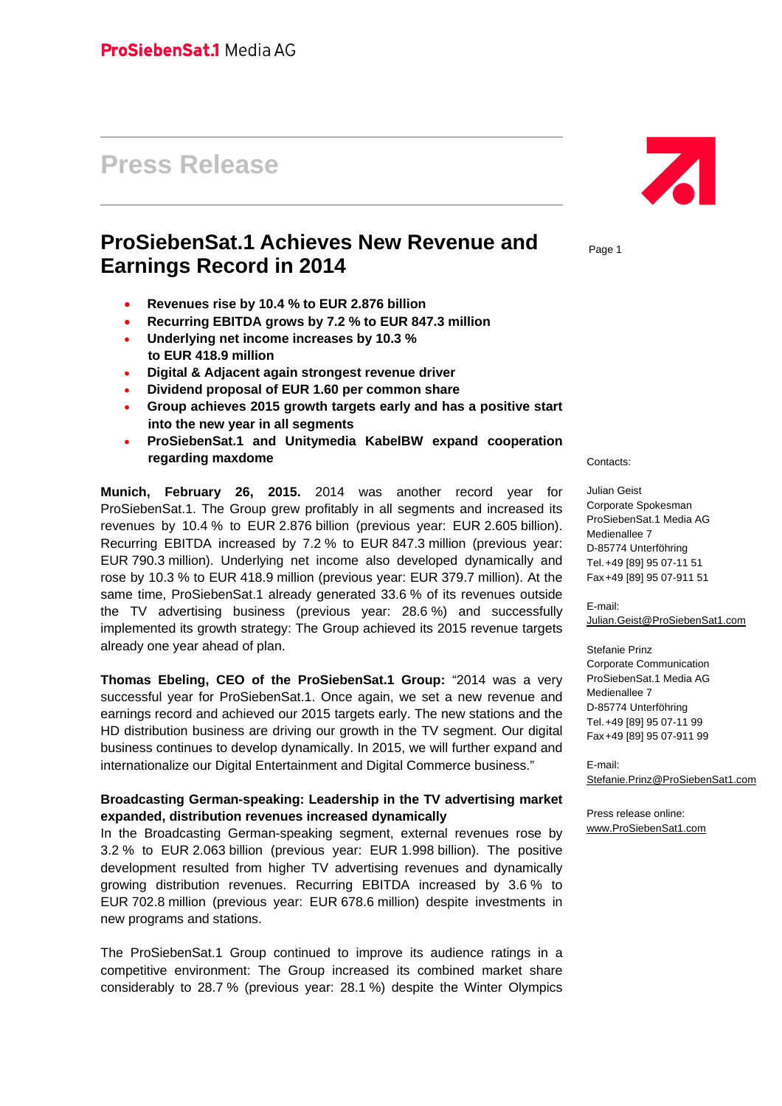# **Press Release**

# **ProSiebenSat.1 Achieves New Revenue and Earnings Record in 2014**

- **Revenues rise by 10.4 % to EUR 2.876 billion**
- **Recurring EBITDA grows by 7.2 % to EUR 847.3 million**
- **Underlying net income increases by 10.3 % to EUR 418.9 million**
- **Digital & Adjacent again strongest revenue driver**
- **Dividend proposal of EUR 1.60 per common share**
- **Group achieves 2015 growth targets early and has a positive start into the new year in all segments**
- **ProSiebenSat.1 and Unitymedia KabelBW expand cooperation regarding maxdome**

**Munich, February 26, 2015.** 2014 was another record year for ProSiebenSat.1. The Group grew profitably in all segments and increased its revenues by 10.4 % to EUR 2.876 billion (previous year: EUR 2.605 billion). Recurring EBITDA increased by 7.2 % to EUR 847.3 million (previous year: EUR 790.3 million). Underlying net income also developed dynamically and rose by 10.3 % to EUR 418.9 million (previous year: EUR 379.7 million). At the same time, ProSiebenSat.1 already generated 33.6 % of its revenues outside the TV advertising business (previous year: 28.6 %) and successfully implemented its growth strategy: The Group achieved its 2015 revenue targets already one year ahead of plan.

**Thomas Ebeling, CEO of the ProSiebenSat.1 Group:** "2014 was a very successful year for ProSiebenSat.1. Once again, we set a new revenue and earnings record and achieved our 2015 targets early. The new stations and the HD distribution business are driving our growth in the TV segment. Our digital business continues to develop dynamically. In 2015, we will further expand and internationalize our Digital Entertainment and Digital Commerce business."

#### **Broadcasting German-speaking: Leadership in the TV advertising market expanded, distribution revenues increased dynamically**

In the Broadcasting German-speaking segment, external revenues rose by 3.2 % to EUR 2.063 billion (previous year: EUR 1.998 billion). The positive development resulted from higher TV advertising revenues and dynamically growing distribution revenues. Recurring EBITDA increased by 3.6 % to EUR 702.8 million (previous year: EUR 678.6 million) despite investments in new programs and stations.

The ProSiebenSat.1 Group continued to improve its audience ratings in a competitive environment: The Group increased its combined market share considerably to 28.7 % (previous year: 28.1 %) despite the Winter Olympics



Page 1

Contacts:

Julian Geist Corporate Spokesman ProSiebenSat.1 Media AG Medienallee 7 D-85774 Unterföhring Tel. +49 [89] 95 07-11 51 Fax +49 [89] 95 07-911 51

E-mail: Julian.Geist@ProSiebenSat1.com

Stefanie Prinz Corporate Communication ProSiebenSat.1 Media AG Medienallee 7 D-85774 Unterföhring Tel. +49 [89] 95 07-11 99 Fax +49 [89] 95 07-911 99

E-mail: Stefanie.Prinz@ProSiebenSat1.com

Press release online: www.ProSiebenSat1.com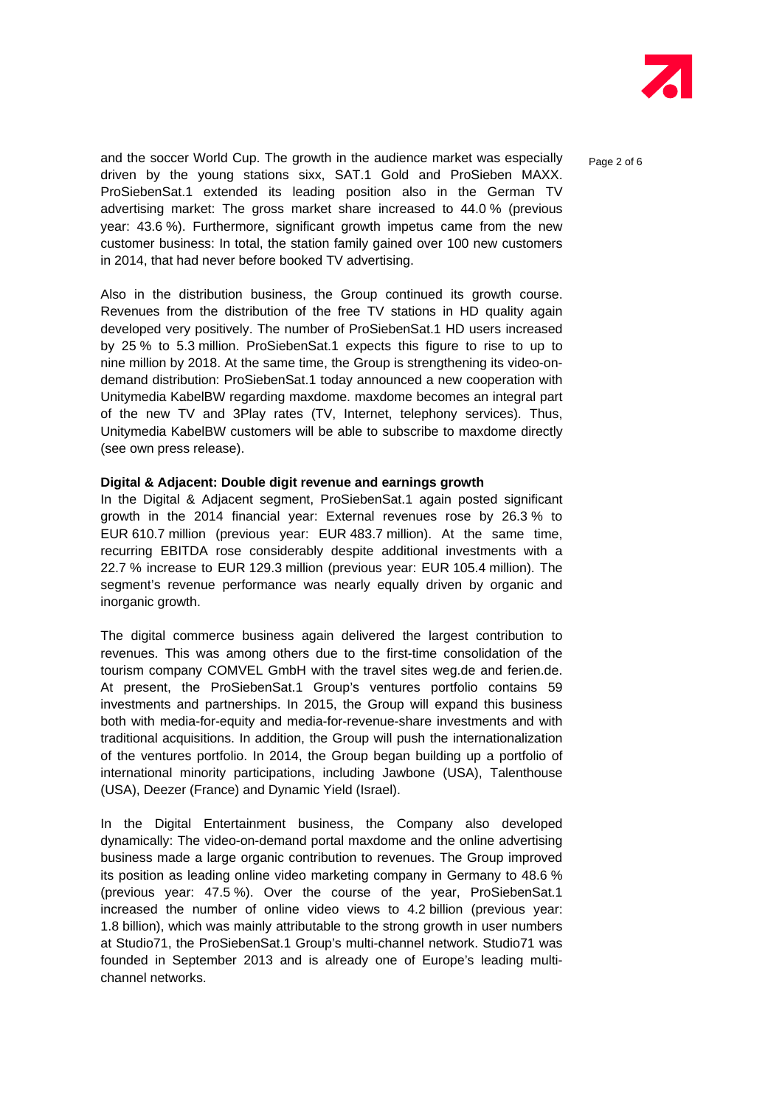

and the soccer World Cup. The growth in the audience market was especially  $P_{\text{a}ae 2 of 6}$ driven by the young stations sixx, SAT.1 Gold and ProSieben MAXX. ProSiebenSat.1 extended its leading position also in the German TV advertising market: The gross market share increased to 44.0 % (previous year: 43.6 %). Furthermore, significant growth impetus came from the new customer business: In total, the station family gained over 100 new customers in 2014, that had never before booked TV advertising.

Also in the distribution business, the Group continued its growth course. Revenues from the distribution of the free TV stations in HD quality again developed very positively. The number of ProSiebenSat.1 HD users increased by 25 % to 5.3 million. ProSiebenSat.1 expects this figure to rise to up to nine million by 2018. At the same time, the Group is strengthening its video-ondemand distribution: ProSiebenSat.1 today announced a new cooperation with Unitymedia KabelBW regarding maxdome. maxdome becomes an integral part of the new TV and 3Play rates (TV, Internet, telephony services). Thus, Unitymedia KabelBW customers will be able to subscribe to maxdome directly (see own press release).

#### **Digital & Adjacent: Double digit revenue and earnings growth**

In the Digital & Adjacent segment, ProSiebenSat.1 again posted significant growth in the 2014 financial year: External revenues rose by 26.3 % to EUR 610.7 million (previous year: EUR 483.7 million). At the same time, recurring EBITDA rose considerably despite additional investments with a 22.7 % increase to EUR 129.3 million (previous year: EUR 105.4 million). The segment's revenue performance was nearly equally driven by organic and inorganic growth.

The digital commerce business again delivered the largest contribution to revenues. This was among others due to the first-time consolidation of the tourism company COMVEL GmbH with the travel sites weg.de and ferien.de. At present, the ProSiebenSat.1 Group's ventures portfolio contains 59 investments and partnerships. In 2015, the Group will expand this business both with media-for-equity and media-for-revenue-share investments and with traditional acquisitions. In addition, the Group will push the internationalization of the ventures portfolio. In 2014, the Group began building up a portfolio of international minority participations, including Jawbone (USA), Talenthouse (USA), Deezer (France) and Dynamic Yield (Israel).

In the Digital Entertainment business, the Company also developed dynamically: The video-on-demand portal maxdome and the online advertising business made a large organic contribution to revenues. The Group improved its position as leading online video marketing company in Germany to 48.6 % (previous year: 47.5 %). Over the course of the year, ProSiebenSat.1 increased the number of online video views to 4.2 billion (previous year: 1.8 billion), which was mainly attributable to the strong growth in user numbers at Studio71, the ProSiebenSat.1 Group's multi-channel network. Studio71 was founded in September 2013 and is already one of Europe's leading multichannel networks.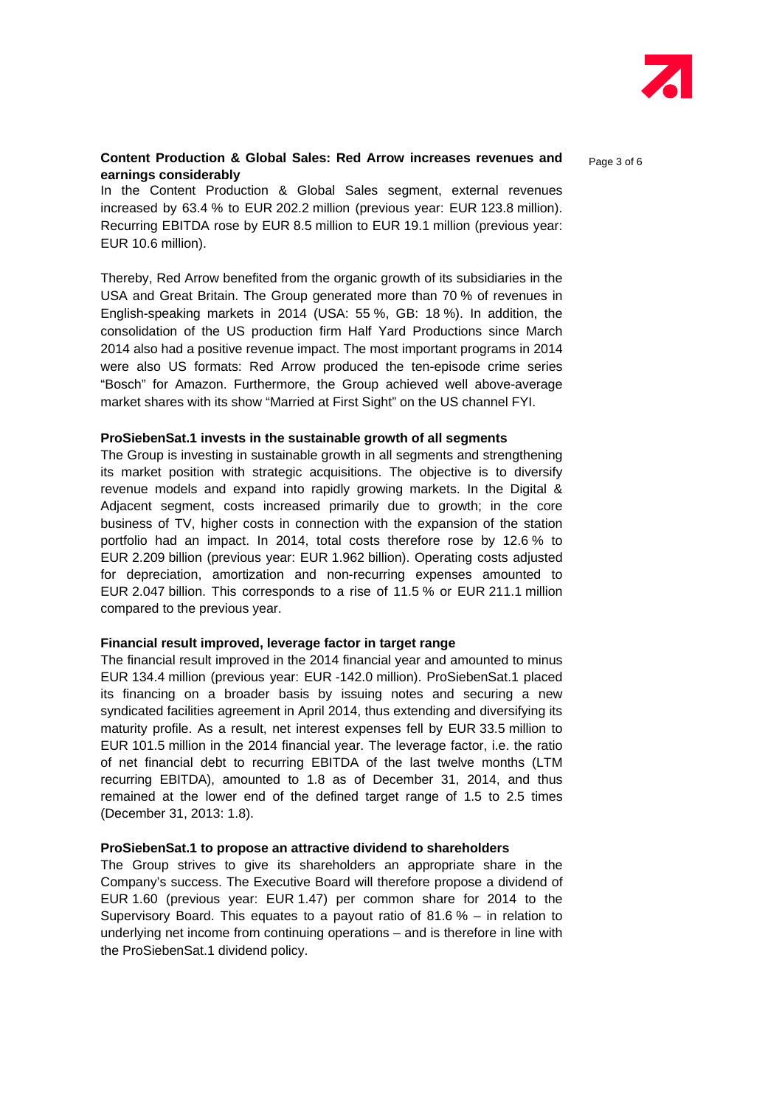

#### **Content Production & Global Sales: Red Arrow increases revenues and <br>Page 3 of 6 earnings considerably**

In the Content Production & Global Sales segment, external revenues increased by 63.4 % to EUR 202.2 million (previous year: EUR 123.8 million). Recurring EBITDA rose by EUR 8.5 million to EUR 19.1 million (previous year: EUR 10.6 million).

Thereby, Red Arrow benefited from the organic growth of its subsidiaries in the USA and Great Britain. The Group generated more than 70 % of revenues in English-speaking markets in 2014 (USA: 55 %, GB: 18 %). In addition, the consolidation of the US production firm Half Yard Productions since March 2014 also had a positive revenue impact. The most important programs in 2014 were also US formats: Red Arrow produced the ten-episode crime series "Bosch" for Amazon. Furthermore, the Group achieved well above-average market shares with its show "Married at First Sight" on the US channel FYI.

#### **ProSiebenSat.1 invests in the sustainable growth of all segments**

The Group is investing in sustainable growth in all segments and strengthening its market position with strategic acquisitions. The objective is to diversify revenue models and expand into rapidly growing markets. In the Digital & Adjacent segment, costs increased primarily due to growth; in the core business of TV, higher costs in connection with the expansion of the station portfolio had an impact. In 2014, total costs therefore rose by 12.6 % to EUR 2.209 billion (previous year: EUR 1.962 billion). Operating costs adjusted for depreciation, amortization and non-recurring expenses amounted to EUR 2.047 billion. This corresponds to a rise of 11.5 % or EUR 211.1 million compared to the previous year.

#### **Financial result improved, leverage factor in target range**

The financial result improved in the 2014 financial year and amounted to minus EUR 134.4 million (previous year: EUR -142.0 million). ProSiebenSat.1 placed its financing on a broader basis by issuing notes and securing a new syndicated facilities agreement in April 2014, thus extending and diversifying its maturity profile. As a result, net interest expenses fell by EUR 33.5 million to EUR 101.5 million in the 2014 financial year. The leverage factor, i.e. the ratio of net financial debt to recurring EBITDA of the last twelve months (LTM recurring EBITDA), amounted to 1.8 as of December 31, 2014, and thus remained at the lower end of the defined target range of 1.5 to 2.5 times (December 31, 2013: 1.8).

#### **ProSiebenSat.1 to propose an attractive dividend to shareholders**

The Group strives to give its shareholders an appropriate share in the Company's success. The Executive Board will therefore propose a dividend of EUR 1.60 (previous year: EUR 1.47) per common share for 2014 to the Supervisory Board. This equates to a payout ratio of  $81.6\%$  – in relation to underlying net income from continuing operations – and is therefore in line with the ProSiebenSat.1 dividend policy.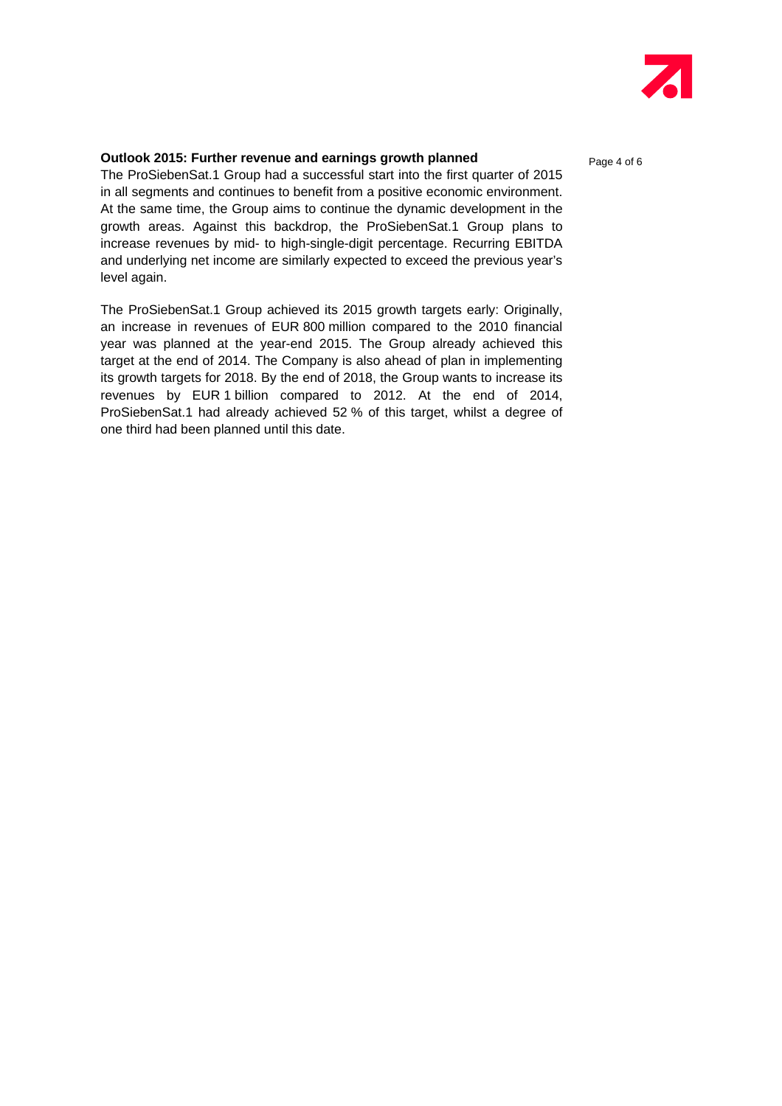

### **Outlook 2015: Further revenue and earnings growth planned** Page 4 of 6

The ProSiebenSat.1 Group had a successful start into the first quarter of 2015 in all segments and continues to benefit from a positive economic environment. At the same time, the Group aims to continue the dynamic development in the growth areas. Against this backdrop, the ProSiebenSat.1 Group plans to increase revenues by mid- to high-single-digit percentage. Recurring EBITDA and underlying net income are similarly expected to exceed the previous year's level again.

The ProSiebenSat.1 Group achieved its 2015 growth targets early: Originally, an increase in revenues of EUR 800 million compared to the 2010 financial year was planned at the year-end 2015. The Group already achieved this target at the end of 2014. The Company is also ahead of plan in implementing its growth targets for 2018. By the end of 2018, the Group wants to increase its revenues by EUR 1 billion compared to 2012. At the end of 2014, ProSiebenSat.1 had already achieved 52 % of this target, whilst a degree of one third had been planned until this date.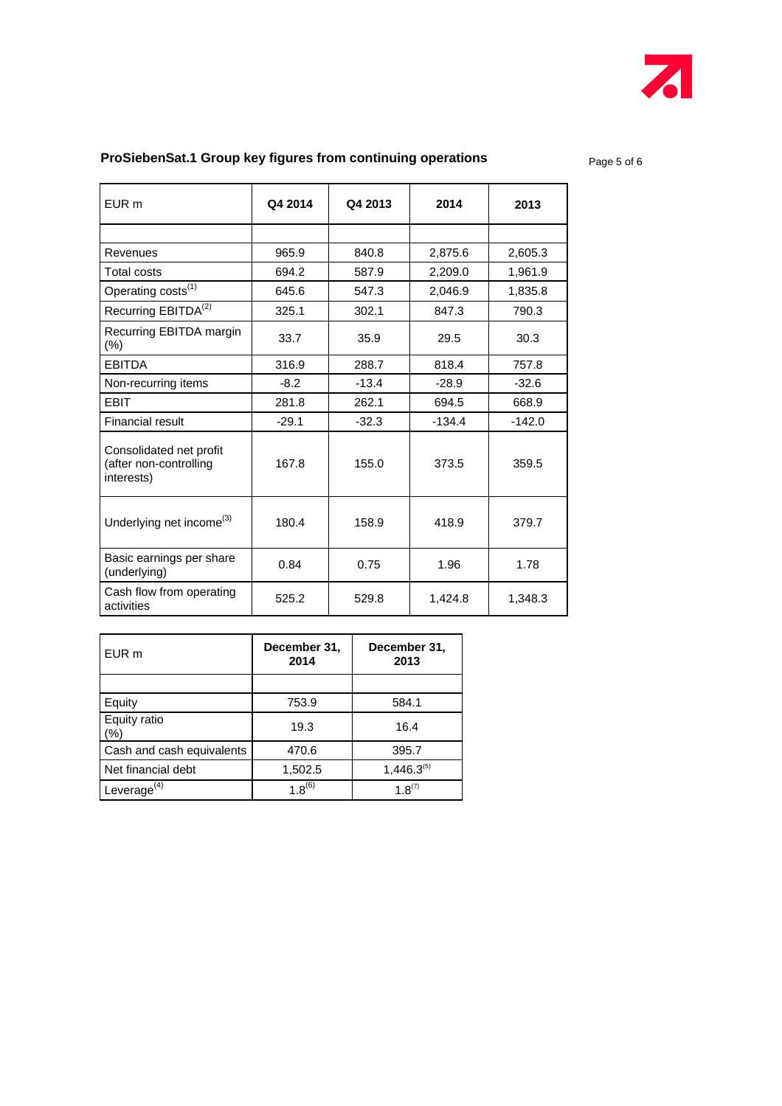

## **ProSiebenSat.1 Group key figures from continuing operations** Page 5 of 6

| EUR m                                                           | Q4 2014 | Q4 2013 | 2014     | 2013     |
|-----------------------------------------------------------------|---------|---------|----------|----------|
|                                                                 |         |         |          |          |
| Revenues                                                        | 965.9   | 840.8   | 2,875.6  | 2,605.3  |
| <b>Total costs</b>                                              | 694.2   | 587.9   | 2.209.0  | 1.961.9  |
| Operating costs <sup>(1)</sup>                                  | 645.6   | 547.3   | 2,046.9  | 1,835.8  |
| Recurring EBITDA <sup>(2)</sup>                                 | 325.1   | 302.1   | 847.3    | 790.3    |
| Recurring EBITDA margin<br>$(\% )$                              | 33.7    | 35.9    | 29.5     | 30.3     |
| <b>EBITDA</b>                                                   | 316.9   | 288.7   | 818.4    | 757.8    |
| Non-recurring items                                             | $-8.2$  | $-13.4$ | $-28.9$  | $-32.6$  |
| <b>EBIT</b>                                                     | 281.8   | 262.1   | 694.5    | 668.9    |
| <b>Financial result</b>                                         | $-29.1$ | $-32.3$ | $-134.4$ | $-142.0$ |
| Consolidated net profit<br>(after non-controlling<br>interests) | 167.8   | 155.0   | 373.5    | 359.5    |
| Underlying net income <sup>(3)</sup>                            | 180.4   | 158.9   | 418.9    | 379.7    |
| Basic earnings per share<br>(underlying)                        | 0.84    | 0.75    | 1.96     | 1.78     |
| Cash flow from operating<br>activities                          | 525.2   | 529.8   | 1,424.8  | 1,348.3  |

| EUR m                     | December 31,<br>2014 | December 31,<br>2013 |  |
|---------------------------|----------------------|----------------------|--|
|                           |                      |                      |  |
| Equity                    | 753.9                | 584.1                |  |
| Equity ratio<br>$(\% )$   | 19.3                 | 16.4                 |  |
| Cash and cash equivalents | 470.6                | 395.7                |  |
| Net financial debt        | 1,502.5              | $1,446.3^{(5)}$      |  |
| Leverage $(4)$            | $1.8^{(6)}$          | $1.8^{(7)}$          |  |